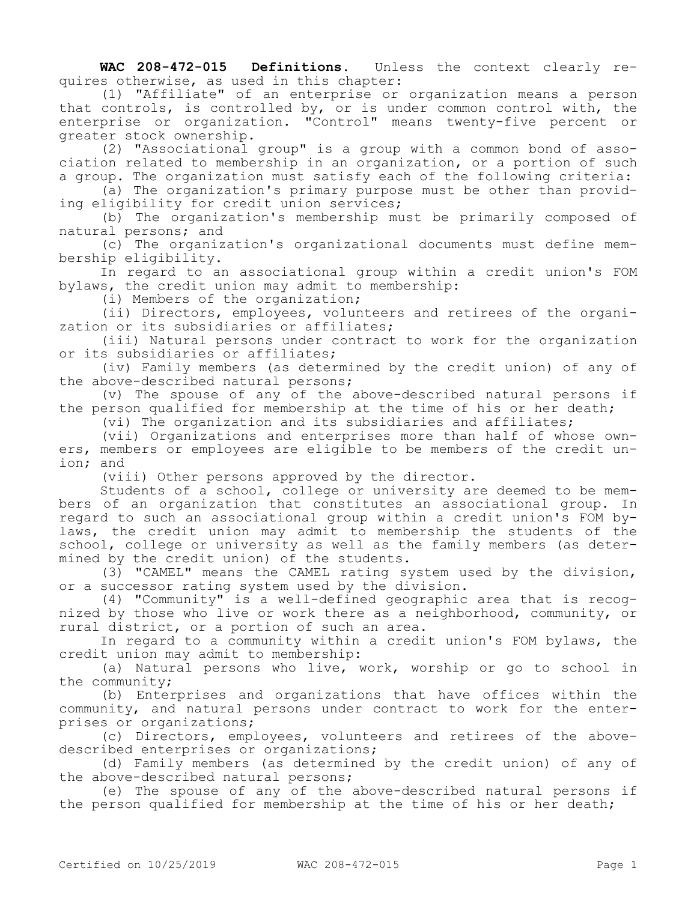**WAC 208-472-015 Definitions.** Unless the context clearly requires otherwise, as used in this chapter:

(1) "Affiliate" of an enterprise or organization means a person that controls, is controlled by, or is under common control with, the enterprise or organization. "Control" means twenty-five percent or greater stock ownership.

(2) "Associational group" is a group with a common bond of association related to membership in an organization, or a portion of such a group. The organization must satisfy each of the following criteria:

(a) The organization's primary purpose must be other than providing eligibility for credit union services;

(b) The organization's membership must be primarily composed of natural persons; and

(c) The organization's organizational documents must define membership eligibility.

In regard to an associational group within a credit union's FOM bylaws, the credit union may admit to membership:

(i) Members of the organization;

(ii) Directors, employees, volunteers and retirees of the organization or its subsidiaries or affiliates;

(iii) Natural persons under contract to work for the organization or its subsidiaries or affiliates;

(iv) Family members (as determined by the credit union) of any of the above-described natural persons;

(v) The spouse of any of the above-described natural persons if the person qualified for membership at the time of his or her death;

(vi) The organization and its subsidiaries and affiliates;

(vii) Organizations and enterprises more than half of whose owners, members or employees are eligible to be members of the credit union; and

(viii) Other persons approved by the director.

Students of a school, college or university are deemed to be members of an organization that constitutes an associational group. In regard to such an associational group within a credit union's FOM bylaws, the credit union may admit to membership the students of the school, college or university as well as the family members (as determined by the credit union) of the students.

(3) "CAMEL" means the CAMEL rating system used by the division, or a successor rating system used by the division.

(4) "Community" is a well-defined geographic area that is recognized by those who live or work there as a neighborhood, community, or rural district, or a portion of such an area.

In regard to a community within a credit union's FOM bylaws, the credit union may admit to membership:

(a) Natural persons who live, work, worship or go to school in the community;

(b) Enterprises and organizations that have offices within the community, and natural persons under contract to work for the enterprises or organizations;

(c) Directors, employees, volunteers and retirees of the abovedescribed enterprises or organizations;

(d) Family members (as determined by the credit union) of any of the above-described natural persons;

(e) The spouse of any of the above-described natural persons if the person qualified for membership at the time of his or her death;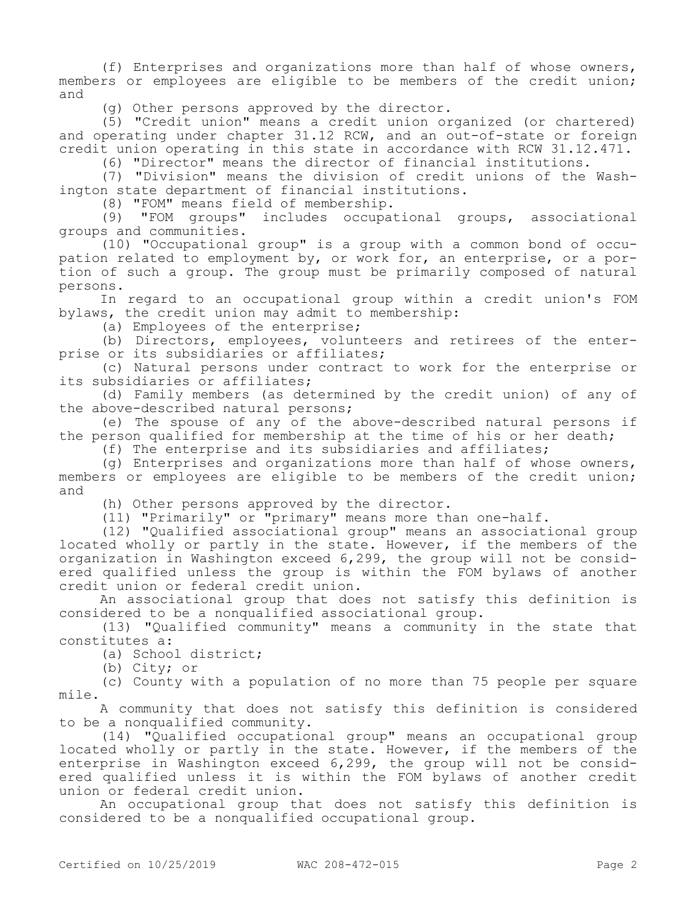(f) Enterprises and organizations more than half of whose owners, members or employees are eligible to be members of the credit union; and

(g) Other persons approved by the director.

(5) "Credit union" means a credit union organized (or chartered) and operating under chapter 31.12 RCW, and an out-of-state or foreign credit union operating in this state in accordance with RCW 31.12.471.

(6) "Director" means the director of financial institutions.

(7) "Division" means the division of credit unions of the Washington state department of financial institutions.

(8) "FOM" means field of membership.

(9) "FOM groups" includes occupational groups, associational groups and communities.

(10) "Occupational group" is a group with a common bond of occupation related to employment by, or work for, an enterprise, or a portion of such a group. The group must be primarily composed of natural persons.

In regard to an occupational group within a credit union's FOM bylaws, the credit union may admit to membership:

(a) Employees of the enterprise;

(b) Directors, employees, volunteers and retirees of the enterprise or its subsidiaries or affiliates;

(c) Natural persons under contract to work for the enterprise or its subsidiaries or affiliates;

(d) Family members (as determined by the credit union) of any of the above-described natural persons;

(e) The spouse of any of the above-described natural persons if the person qualified for membership at the time of his or her death;

(f) The enterprise and its subsidiaries and affiliates;

(g) Enterprises and organizations more than half of whose owners, members or employees are eligible to be members of the credit union; and

(h) Other persons approved by the director.

(11) "Primarily" or "primary" means more than one-half.

(12) "Qualified associational group" means an associational group located wholly or partly in the state. However, if the members of the organization in Washington exceed 6,299, the group will not be considered qualified unless the group is within the FOM bylaws of another credit union or federal credit union.

An associational group that does not satisfy this definition is considered to be a nonqualified associational group.

(13) "Qualified community" means a community in the state that constitutes a:

(a) School district;

(b) City; or

(c) County with a population of no more than 75 people per square mile.

A community that does not satisfy this definition is considered to be a nonqualified community.

(14) "Qualified occupational group" means an occupational group located wholly or partly in the state. However, if the members of the enterprise in Washington exceed 6,299, the group will not be considered qualified unless it is within the FOM bylaws of another credit union or federal credit union.

An occupational group that does not satisfy this definition is considered to be a nonqualified occupational group.